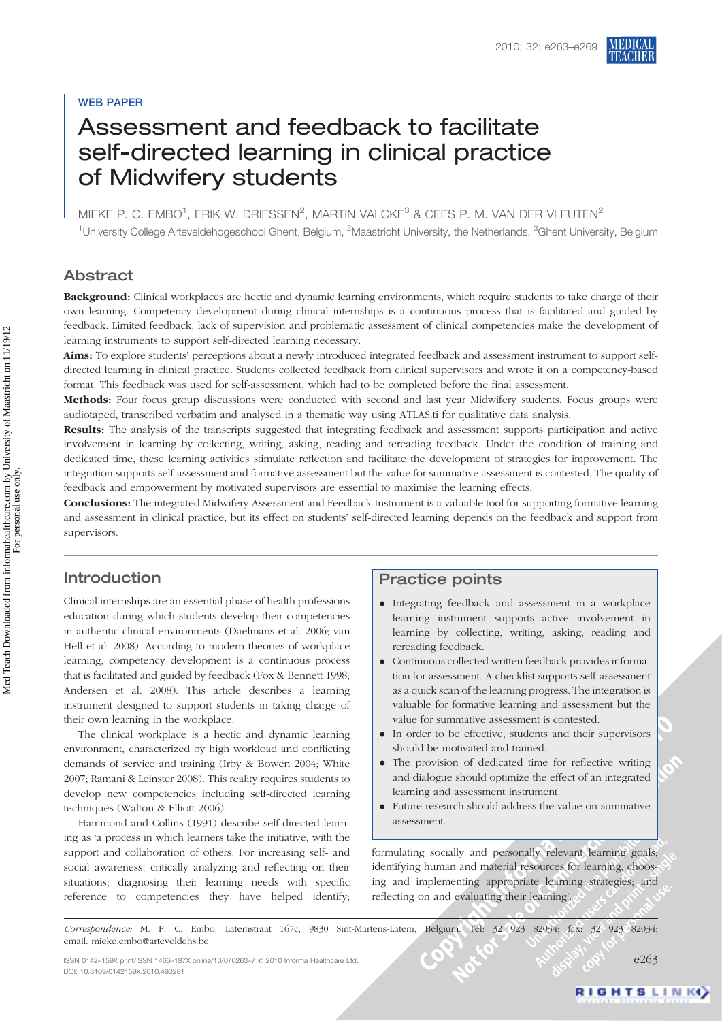## WEB PAPER

# Assessment and feedback to facilitate self-directed learning in clinical practice of Midwifery students

MIEKE P. C. EMBO<sup>1</sup>, ERIK W. DRIESSEN<sup>2</sup>, MARTIN VALCKE<sup>3</sup> & CEES P. M. VAN DER VLEUTEN<sup>2</sup> <sup>1</sup>University College Arteveldehogeschool Ghent, Belgium, <sup>2</sup>Maastricht University, the Netherlands, <sup>3</sup>Ghent University, Belgium

## Abstract

Background: Clinical workplaces are hectic and dynamic learning environments, which require students to take charge of their own learning. Competency development during clinical internships is a continuous process that is facilitated and guided by feedback. Limited feedback, lack of supervision and problematic assessment of clinical competencies make the development of learning instruments to support self-directed learning necessary.

Aims: To explore students' perceptions about a newly introduced integrated feedback and assessment instrument to support selfdirected learning in clinical practice. Students collected feedback from clinical supervisors and wrote it on a competency-based format. This feedback was used for self-assessment, which had to be completed before the final assessment.

Methods: Four focus group discussions were conducted with second and last year Midwifery students. Focus groups were audiotaped, transcribed verbatim and analysed in a thematic way using ATLAS.ti for qualitative data analysis.

Results: The analysis of the transcripts suggested that integrating feedback and assessment supports participation and active involvement in learning by collecting, writing, asking, reading and rereading feedback. Under the condition of training and dedicated time, these learning activities stimulate reflection and facilitate the development of strategies for improvement. The integration supports self-assessment and formative assessment but the value for summative assessment is contested. The quality of feedback and empowerment by motivated supervisors are essential to maximise the learning effects.

Conclusions: The integrated Midwifery Assessment and Feedback Instrument is a valuable tool for supporting formative learning and assessment in clinical practice, but its effect on students' self-directed learning depends on the feedback and support from supervisors.

## Introduction

Clinical internships are an essential phase of health professions education during which students develop their competencies in authentic clinical environments (Daelmans et al. 2006; van Hell et al. 2008). According to modern theories of workplace learning, competency development is a continuous process that is facilitated and guided by feedback (Fox & Bennett 1998; Andersen et al. 2008). This article describes a learning instrument designed to support students in taking charge of their own learning in the workplace.

The clinical workplace is a hectic and dynamic learning environment, characterized by high workload and conflicting demands of service and training (Irby & Bowen 2004; White 2007; Ramani & Leinster 2008). This reality requires students to develop new competencies including self-directed learning techniques (Walton & Elliott 2006).

Hammond and Collins (1991) describe self-directed learning as 'a process in which learners take the initiative, with the support and collaboration of others. For increasing self- and social awareness; critically analyzing and reflecting on their situations; diagnosing their learning needs with specific reference to competencies they have helped identify;

# Practice points

- . Integrating feedback and assessment in a workplace learning instrument supports active involvement in learning by collecting, writing, asking, reading and rereading feedback.
- . Continuous collected written feedback provides information for assessment. A checklist supports self-assessment as a quick scan of the learning progress. The integration is valuable for formative learning and assessment but the value for summative assessment is contested.
- . In order to be effective, students and their supervisors should be motivated and trained.
- . The provision of dedicated time for reflective writing and dialogue should optimize the effect of an integrated learning and assessment instrument.
- . Future research should address the value on summative assessment.

formulating socially and personally relevant learning goals; identifying human and material resources for learning, choosing and implementing appropriate learning strategies; and reflecting on and evaluating their learning'.

Correspondence: M. P. C. Embo, Latemstraat 167c, 9830 Sint-Martens-Latem, Belgium. Tel: 32 923 82034; fax: 32 923 82034; email: mieke.embo@arteveldehs.be

ISSN 0142–159X print/ISSN 1466–187X online/10/070263–7 © 2010 Informa Healthcare Ltd. e263 DOI: 10.3109/0142159X.2010.490281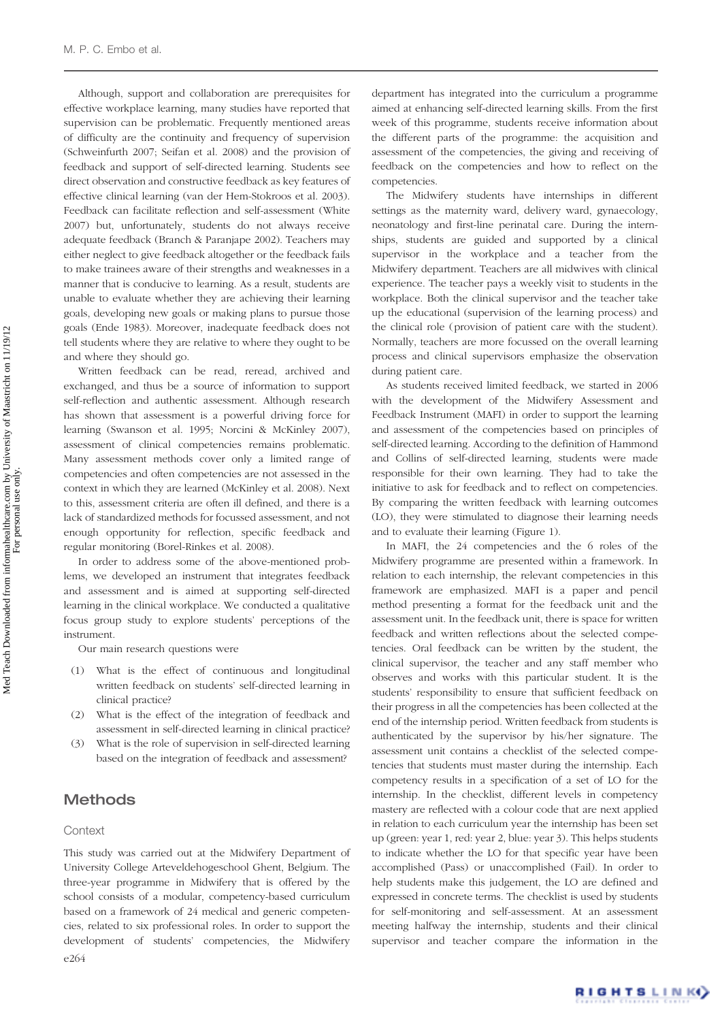Although, support and collaboration are prerequisites for effective workplace learning, many studies have reported that supervision can be problematic. Frequently mentioned areas of difficulty are the continuity and frequency of supervision (Schweinfurth 2007; Seifan et al. 2008) and the provision of feedback and support of self-directed learning. Students see direct observation and constructive feedback as key features of effective clinical learning (van der Hem-Stokroos et al. 2003). Feedback can facilitate reflection and self-assessment (White 2007) but, unfortunately, students do not always receive adequate feedback (Branch & Paranjape 2002). Teachers may either neglect to give feedback altogether or the feedback fails to make trainees aware of their strengths and weaknesses in a manner that is conducive to learning. As a result, students are unable to evaluate whether they are achieving their learning goals, developing new goals or making plans to pursue those goals (Ende 1983). Moreover, inadequate feedback does not tell students where they are relative to where they ought to be and where they should go.

Written feedback can be read, reread, archived and exchanged, and thus be a source of information to support self-reflection and authentic assessment. Although research has shown that assessment is a powerful driving force for learning (Swanson et al. 1995; Norcini & McKinley 2007), assessment of clinical competencies remains problematic. Many assessment methods cover only a limited range of competencies and often competencies are not assessed in the context in which they are learned (McKinley et al. 2008). Next to this, assessment criteria are often ill defined, and there is a lack of standardized methods for focussed assessment, and not enough opportunity for reflection, specific feedback and regular monitoring (Borel-Rinkes et al. 2008).

In order to address some of the above-mentioned problems, we developed an instrument that integrates feedback and assessment and is aimed at supporting self-directed learning in the clinical workplace. We conducted a qualitative focus group study to explore students' perceptions of the instrument.

Our main research questions were

- (1) What is the effect of continuous and longitudinal written feedback on students' self-directed learning in clinical practice?
- (2) What is the effect of the integration of feedback and assessment in self-directed learning in clinical practice?
- (3) What is the role of supervision in self-directed learning based on the integration of feedback and assessment?

## **Methods**

#### **Context**

This study was carried out at the Midwifery Department of University College Arteveldehogeschool Ghent, Belgium. The three-year programme in Midwifery that is offered by the school consists of a modular, competency-based curriculum based on a framework of 24 medical and generic competencies, related to six professional roles. In order to support the development of students' competencies, the Midwifery e264

department has integrated into the curriculum a programme aimed at enhancing self-directed learning skills. From the first week of this programme, students receive information about the different parts of the programme: the acquisition and assessment of the competencies, the giving and receiving of feedback on the competencies and how to reflect on the competencies.

The Midwifery students have internships in different settings as the maternity ward, delivery ward, gynaecology, neonatology and first-line perinatal care. During the internships, students are guided and supported by a clinical supervisor in the workplace and a teacher from the Midwifery department. Teachers are all midwives with clinical experience. The teacher pays a weekly visit to students in the workplace. Both the clinical supervisor and the teacher take up the educational (supervision of the learning process) and the clinical role (provision of patient care with the student). Normally, teachers are more focussed on the overall learning process and clinical supervisors emphasize the observation during patient care.

As students received limited feedback, we started in 2006 with the development of the Midwifery Assessment and Feedback Instrument (MAFI) in order to support the learning and assessment of the competencies based on principles of self-directed learning. According to the definition of Hammond and Collins of self-directed learning, students were made responsible for their own learning. They had to take the initiative to ask for feedback and to reflect on competencies. By comparing the written feedback with learning outcomes (LO), they were stimulated to diagnose their learning needs and to evaluate their learning (Figure 1).

In MAFI, the 24 competencies and the 6 roles of the Midwifery programme are presented within a framework. In relation to each internship, the relevant competencies in this framework are emphasized. MAFI is a paper and pencil method presenting a format for the feedback unit and the assessment unit. In the feedback unit, there is space for written feedback and written reflections about the selected competencies. Oral feedback can be written by the student, the clinical supervisor, the teacher and any staff member who observes and works with this particular student. It is the students' responsibility to ensure that sufficient feedback on their progress in all the competencies has been collected at the end of the internship period. Written feedback from students is authenticated by the supervisor by his/her signature. The assessment unit contains a checklist of the selected competencies that students must master during the internship. Each competency results in a specification of a set of LO for the internship. In the checklist, different levels in competency mastery are reflected with a colour code that are next applied in relation to each curriculum year the internship has been set up (green: year 1, red: year 2, blue: year 3). This helps students to indicate whether the LO for that specific year have been accomplished (Pass) or unaccomplished (Fail). In order to help students make this judgement, the LO are defined and expressed in concrete terms. The checklist is used by students for self-monitoring and self-assessment. At an assessment meeting halfway the internship, students and their clinical supervisor and teacher compare the information in the

RIGHTS LINKO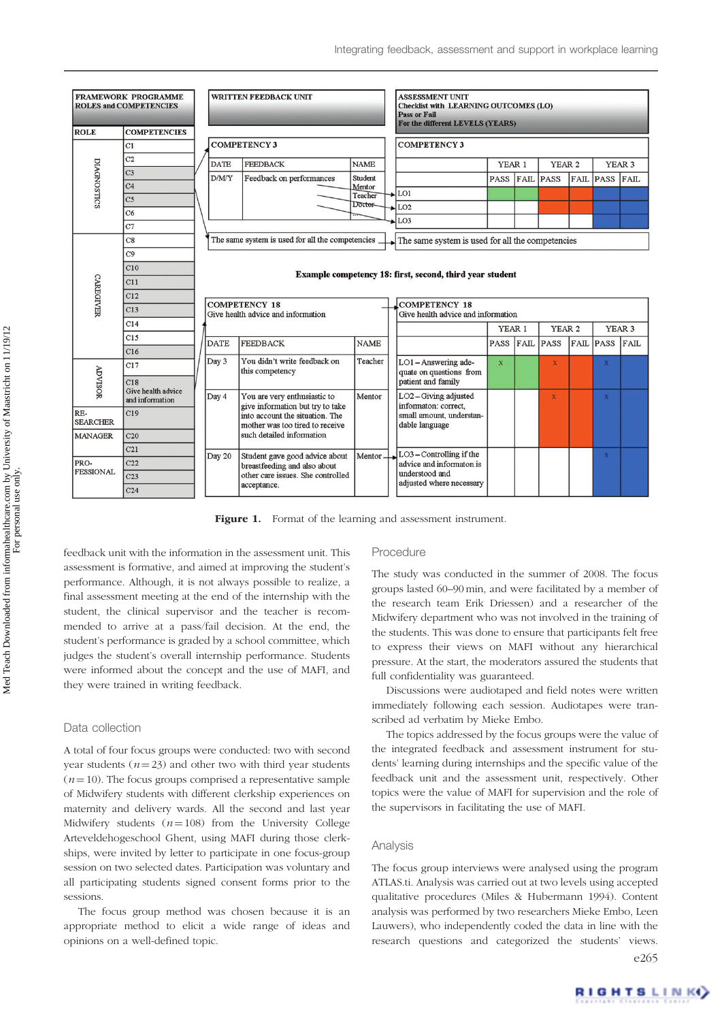

Figure 1. Format of the learning and assessment instrument.

feedback unit with the information in the assessment unit. This assessment is formative, and aimed at improving the student's performance. Although, it is not always possible to realize, a final assessment meeting at the end of the internship with the student, the clinical supervisor and the teacher is recommended to arrive at a pass/fail decision. At the end, the student's performance is graded by a school committee, which judges the student's overall internship performance. Students were informed about the concept and the use of MAFI, and they were trained in writing feedback.

### Data collection

A total of four focus groups were conducted: two with second year students ( $n = 23$ ) and other two with third year students  $(n = 10)$ . The focus groups comprised a representative sample of Midwifery students with different clerkship experiences on maternity and delivery wards. All the second and last year Midwifery students  $(n = 108)$  from the University College Arteveldehogeschool Ghent, using MAFI during those clerkships, were invited by letter to participate in one focus-group session on two selected dates. Participation was voluntary and all participating students signed consent forms prior to the sessions.

The focus group method was chosen because it is an appropriate method to elicit a wide range of ideas and opinions on a well-defined topic.

#### Procedure

The study was conducted in the summer of 2008. The focus groups lasted 60–90 min, and were facilitated by a member of the research team Erik Driessen) and a researcher of the Midwifery department who was not involved in the training of the students. This was done to ensure that participants felt free to express their views on MAFI without any hierarchical pressure. At the start, the moderators assured the students that full confidentiality was guaranteed.

Discussions were audiotaped and field notes were written immediately following each session. Audiotapes were transcribed ad verbatim by Mieke Embo.

The topics addressed by the focus groups were the value of the integrated feedback and assessment instrument for students' learning during internships and the specific value of the feedback unit and the assessment unit, respectively. Other topics were the value of MAFI for supervision and the role of the supervisors in facilitating the use of MAFI.

#### Analysis

The focus group interviews were analysed using the program ATLAS.ti. Analysis was carried out at two levels using accepted qualitative procedures (Miles & Hubermann 1994). Content analysis was performed by two researchers Mieke Embo, Leen Lauwers), who independently coded the data in line with the research questions and categorized the students' views. e265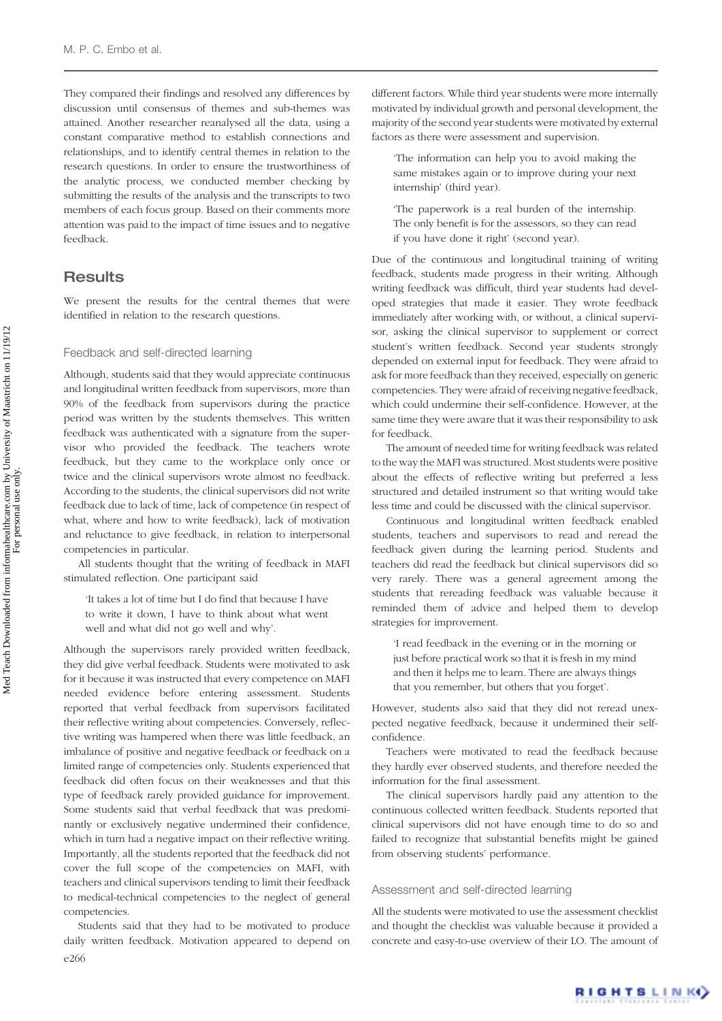They compared their findings and resolved any differences by discussion until consensus of themes and sub-themes was attained. Another researcher reanalysed all the data, using a constant comparative method to establish connections and relationships, and to identify central themes in relation to the research questions. In order to ensure the trustworthiness of the analytic process, we conducted member checking by submitting the results of the analysis and the transcripts to two members of each focus group. Based on their comments more attention was paid to the impact of time issues and to negative feedback.

## **Results**

We present the results for the central themes that were identified in relation to the research questions.

#### Feedback and self-directed learning

Although, students said that they would appreciate continuous and longitudinal written feedback from supervisors, more than 90% of the feedback from supervisors during the practice period was written by the students themselves. This written feedback was authenticated with a signature from the supervisor who provided the feedback. The teachers wrote feedback, but they came to the workplace only once or twice and the clinical supervisors wrote almost no feedback. According to the students, the clinical supervisors did not write feedback due to lack of time, lack of competence (in respect of what, where and how to write feedback), lack of motivation and reluctance to give feedback, in relation to interpersonal competencies in particular.

All students thought that the writing of feedback in MAFI stimulated reflection. One participant said

'It takes a lot of time but I do find that because I have to write it down, I have to think about what went well and what did not go well and why'.

Although the supervisors rarely provided written feedback, they did give verbal feedback. Students were motivated to ask for it because it was instructed that every competence on MAFI needed evidence before entering assessment. Students reported that verbal feedback from supervisors facilitated their reflective writing about competencies. Conversely, reflective writing was hampered when there was little feedback, an imbalance of positive and negative feedback or feedback on a limited range of competencies only. Students experienced that feedback did often focus on their weaknesses and that this type of feedback rarely provided guidance for improvement. Some students said that verbal feedback that was predominantly or exclusively negative undermined their confidence, which in turn had a negative impact on their reflective writing. Importantly, all the students reported that the feedback did not cover the full scope of the competencies on MAFI, with teachers and clinical supervisors tending to limit their feedback to medical-technical competencies to the neglect of general competencies.

Students said that they had to be motivated to produce daily written feedback. Motivation appeared to depend on e266

different factors. While third year students were more internally motivated by individual growth and personal development, the majority of the second year students were motivated by external factors as there were assessment and supervision.

'The information can help you to avoid making the same mistakes again or to improve during your next internship' (third year).

'The paperwork is a real burden of the internship. The only benefit is for the assessors, so they can read if you have done it right' (second year).

Due of the continuous and longitudinal training of writing feedback, students made progress in their writing. Although writing feedback was difficult, third year students had developed strategies that made it easier. They wrote feedback immediately after working with, or without, a clinical supervisor, asking the clinical supervisor to supplement or correct student's written feedback. Second year students strongly depended on external input for feedback. They were afraid to ask for more feedback than they received, especially on generic competencies. They were afraid of receiving negative feedback, which could undermine their self-confidence. However, at the same time they were aware that it was their responsibility to ask for feedback.

The amount of needed time for writing feedback was related to the way the MAFI was structured. Most students were positive about the effects of reflective writing but preferred a less structured and detailed instrument so that writing would take less time and could be discussed with the clinical supervisor.

Continuous and longitudinal written feedback enabled students, teachers and supervisors to read and reread the feedback given during the learning period. Students and teachers did read the feedback but clinical supervisors did so very rarely. There was a general agreement among the students that rereading feedback was valuable because it reminded them of advice and helped them to develop strategies for improvement.

'I read feedback in the evening or in the morning or just before practical work so that it is fresh in my mind and then it helps me to learn. There are always things that you remember, but others that you forget'.

However, students also said that they did not reread unexpected negative feedback, because it undermined their selfconfidence.

Teachers were motivated to read the feedback because they hardly ever observed students, and therefore needed the information for the final assessment.

The clinical supervisors hardly paid any attention to the continuous collected written feedback. Students reported that clinical supervisors did not have enough time to do so and failed to recognize that substantial benefits might be gained from observing students' performance.

#### Assessment and self-directed learning

All the students were motivated to use the assessment checklist and thought the checklist was valuable because it provided a concrete and easy-to-use overview of their LO. The amount of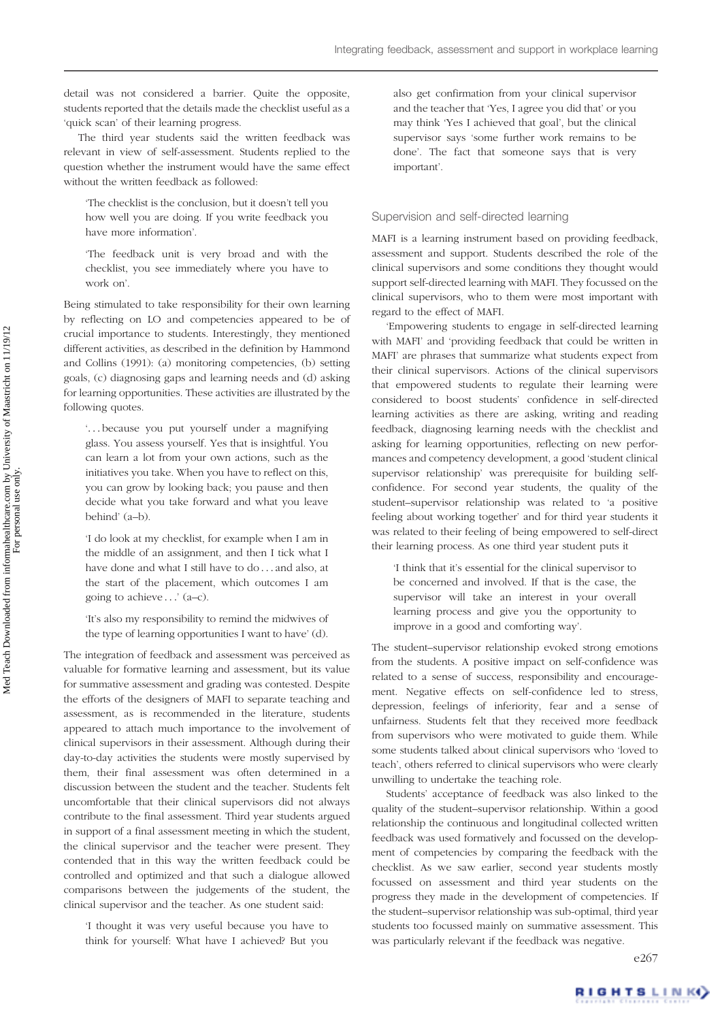detail was not considered a barrier. Quite the opposite, students reported that the details made the checklist useful as a 'quick scan' of their learning progress.

The third year students said the written feedback was relevant in view of self-assessment. Students replied to the question whether the instrument would have the same effect without the written feedback as followed:

'The checklist is the conclusion, but it doesn't tell you how well you are doing. If you write feedback you have more information'.

'The feedback unit is very broad and with the checklist, you see immediately where you have to work on'.

Being stimulated to take responsibility for their own learning by reflecting on LO and competencies appeared to be of crucial importance to students. Interestingly, they mentioned different activities, as described in the definition by Hammond and Collins (1991): (a) monitoring competencies, (b) setting goals, (c) diagnosing gaps and learning needs and (d) asking for learning opportunities. These activities are illustrated by the following quotes.

'... because you put yourself under a magnifying glass. You assess yourself. Yes that is insightful. You can learn a lot from your own actions, such as the initiatives you take. When you have to reflect on this, you can grow by looking back; you pause and then decide what you take forward and what you leave behind' (a–b).

'I do look at my checklist, for example when I am in the middle of an assignment, and then I tick what I have done and what I still have to do . . . and also, at the start of the placement, which outcomes I am going to achieve ...' (a–c).

'It's also my responsibility to remind the midwives of the type of learning opportunities I want to have' (d).

The integration of feedback and assessment was perceived as valuable for formative learning and assessment, but its value for summative assessment and grading was contested. Despite the efforts of the designers of MAFI to separate teaching and assessment, as is recommended in the literature, students appeared to attach much importance to the involvement of clinical supervisors in their assessment. Although during their day-to-day activities the students were mostly supervised by them, their final assessment was often determined in a discussion between the student and the teacher. Students felt uncomfortable that their clinical supervisors did not always contribute to the final assessment. Third year students argued in support of a final assessment meeting in which the student, the clinical supervisor and the teacher were present. They contended that in this way the written feedback could be controlled and optimized and that such a dialogue allowed comparisons between the judgements of the student, the clinical supervisor and the teacher. As one student said:

'I thought it was very useful because you have to think for yourself: What have I achieved? But you

also get confirmation from your clinical supervisor and the teacher that 'Yes, I agree you did that' or you may think 'Yes I achieved that goal', but the clinical supervisor says 'some further work remains to be done'. The fact that someone says that is very important'.

#### Supervision and self-directed learning

MAFI is a learning instrument based on providing feedback, assessment and support. Students described the role of the clinical supervisors and some conditions they thought would support self-directed learning with MAFI. They focussed on the clinical supervisors, who to them were most important with regard to the effect of MAFI.

'Empowering students to engage in self-directed learning with MAFI' and 'providing feedback that could be written in MAFI' are phrases that summarize what students expect from their clinical supervisors. Actions of the clinical supervisors that empowered students to regulate their learning were considered to boost students' confidence in self-directed learning activities as there are asking, writing and reading feedback, diagnosing learning needs with the checklist and asking for learning opportunities, reflecting on new performances and competency development, a good 'student clinical supervisor relationship' was prerequisite for building selfconfidence. For second year students, the quality of the student–supervisor relationship was related to 'a positive feeling about working together' and for third year students it was related to their feeling of being empowered to self-direct their learning process. As one third year student puts it

'I think that it's essential for the clinical supervisor to be concerned and involved. If that is the case, the supervisor will take an interest in your overall learning process and give you the opportunity to improve in a good and comforting way'.

The student–supervisor relationship evoked strong emotions from the students. A positive impact on self-confidence was related to a sense of success, responsibility and encouragement. Negative effects on self-confidence led to stress, depression, feelings of inferiority, fear and a sense of unfairness. Students felt that they received more feedback from supervisors who were motivated to guide them. While some students talked about clinical supervisors who 'loved to teach', others referred to clinical supervisors who were clearly unwilling to undertake the teaching role.

Students' acceptance of feedback was also linked to the quality of the student–supervisor relationship. Within a good relationship the continuous and longitudinal collected written feedback was used formatively and focussed on the development of competencies by comparing the feedback with the checklist. As we saw earlier, second year students mostly focussed on assessment and third year students on the progress they made in the development of competencies. If the student–supervisor relationship was sub-optimal, third year students too focussed mainly on summative assessment. This was particularly relevant if the feedback was negative.

e267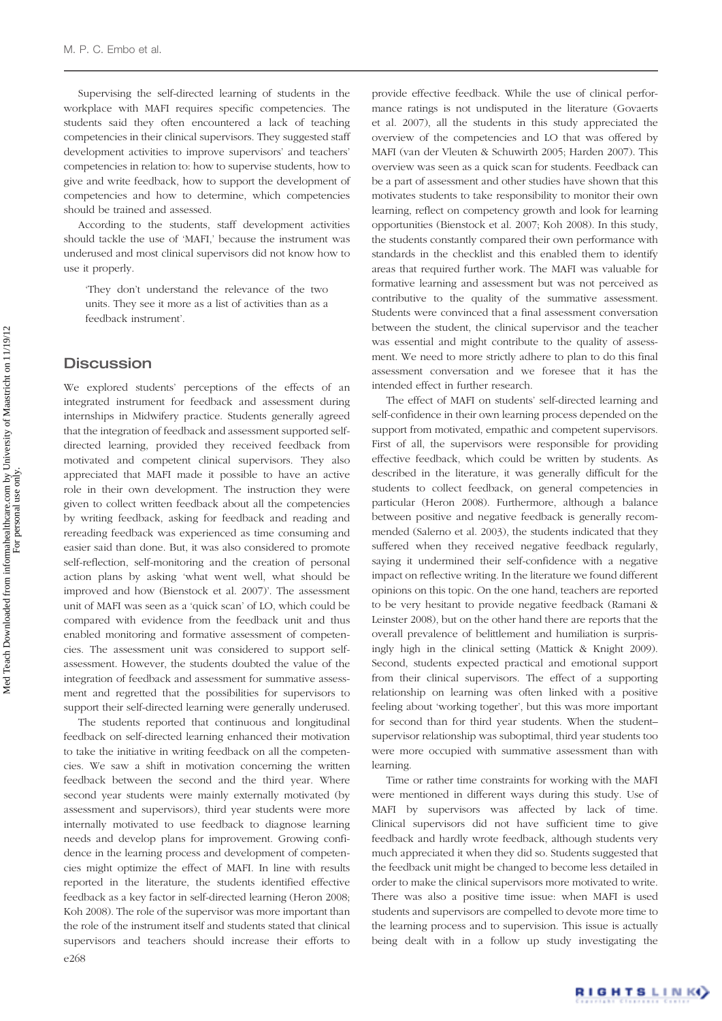Supervising the self-directed learning of students in the workplace with MAFI requires specific competencies. The students said they often encountered a lack of teaching competencies in their clinical supervisors. They suggested staff development activities to improve supervisors' and teachers' competencies in relation to: how to supervise students, how to give and write feedback, how to support the development of competencies and how to determine, which competencies should be trained and assessed.

According to the students, staff development activities should tackle the use of 'MAFI,' because the instrument was underused and most clinical supervisors did not know how to use it properly.

'They don't understand the relevance of the two units. They see it more as a list of activities than as a feedback instrument'.

## **Discussion**

We explored students' perceptions of the effects of an integrated instrument for feedback and assessment during internships in Midwifery practice. Students generally agreed that the integration of feedback and assessment supported selfdirected learning, provided they received feedback from motivated and competent clinical supervisors. They also appreciated that MAFI made it possible to have an active role in their own development. The instruction they were given to collect written feedback about all the competencies by writing feedback, asking for feedback and reading and rereading feedback was experienced as time consuming and easier said than done. But, it was also considered to promote self-reflection, self-monitoring and the creation of personal action plans by asking 'what went well, what should be improved and how (Bienstock et al. 2007)'. The assessment unit of MAFI was seen as a 'quick scan' of LO, which could be compared with evidence from the feedback unit and thus enabled monitoring and formative assessment of competencies. The assessment unit was considered to support selfassessment. However, the students doubted the value of the integration of feedback and assessment for summative assessment and regretted that the possibilities for supervisors to support their self-directed learning were generally underused.

The students reported that continuous and longitudinal feedback on self-directed learning enhanced their motivation to take the initiative in writing feedback on all the competencies. We saw a shift in motivation concerning the written feedback between the second and the third year. Where second year students were mainly externally motivated (by assessment and supervisors), third year students were more internally motivated to use feedback to diagnose learning needs and develop plans for improvement. Growing confidence in the learning process and development of competencies might optimize the effect of MAFI. In line with results reported in the literature, the students identified effective feedback as a key factor in self-directed learning (Heron 2008; Koh 2008). The role of the supervisor was more important than the role of the instrument itself and students stated that clinical supervisors and teachers should increase their efforts to e268

provide effective feedback. While the use of clinical performance ratings is not undisputed in the literature (Govaerts et al. 2007), all the students in this study appreciated the overview of the competencies and LO that was offered by MAFI (van der Vleuten & Schuwirth 2005; Harden 2007). This overview was seen as a quick scan for students. Feedback can be a part of assessment and other studies have shown that this motivates students to take responsibility to monitor their own learning, reflect on competency growth and look for learning opportunities (Bienstock et al. 2007; Koh 2008). In this study, the students constantly compared their own performance with standards in the checklist and this enabled them to identify areas that required further work. The MAFI was valuable for formative learning and assessment but was not perceived as contributive to the quality of the summative assessment. Students were convinced that a final assessment conversation between the student, the clinical supervisor and the teacher was essential and might contribute to the quality of assessment. We need to more strictly adhere to plan to do this final assessment conversation and we foresee that it has the intended effect in further research.

The effect of MAFI on students' self-directed learning and self-confidence in their own learning process depended on the support from motivated, empathic and competent supervisors. First of all, the supervisors were responsible for providing effective feedback, which could be written by students. As described in the literature, it was generally difficult for the students to collect feedback, on general competencies in particular (Heron 2008). Furthermore, although a balance between positive and negative feedback is generally recommended (Salerno et al. 2003), the students indicated that they suffered when they received negative feedback regularly, saying it undermined their self-confidence with a negative impact on reflective writing. In the literature we found different opinions on this topic. On the one hand, teachers are reported to be very hesitant to provide negative feedback (Ramani & Leinster 2008), but on the other hand there are reports that the overall prevalence of belittlement and humiliation is surprisingly high in the clinical setting (Mattick & Knight 2009). Second, students expected practical and emotional support from their clinical supervisors. The effect of a supporting relationship on learning was often linked with a positive feeling about 'working together', but this was more important for second than for third year students. When the studentsupervisor relationship was suboptimal, third year students too were more occupied with summative assessment than with learning.

Time or rather time constraints for working with the MAFI were mentioned in different ways during this study. Use of MAFI by supervisors was affected by lack of time. Clinical supervisors did not have sufficient time to give feedback and hardly wrote feedback, although students very much appreciated it when they did so. Students suggested that the feedback unit might be changed to become less detailed in order to make the clinical supervisors more motivated to write. There was also a positive time issue: when MAFI is used students and supervisors are compelled to devote more time to the learning process and to supervision. This issue is actually being dealt with in a follow up study investigating the

RIGHTS LINKO